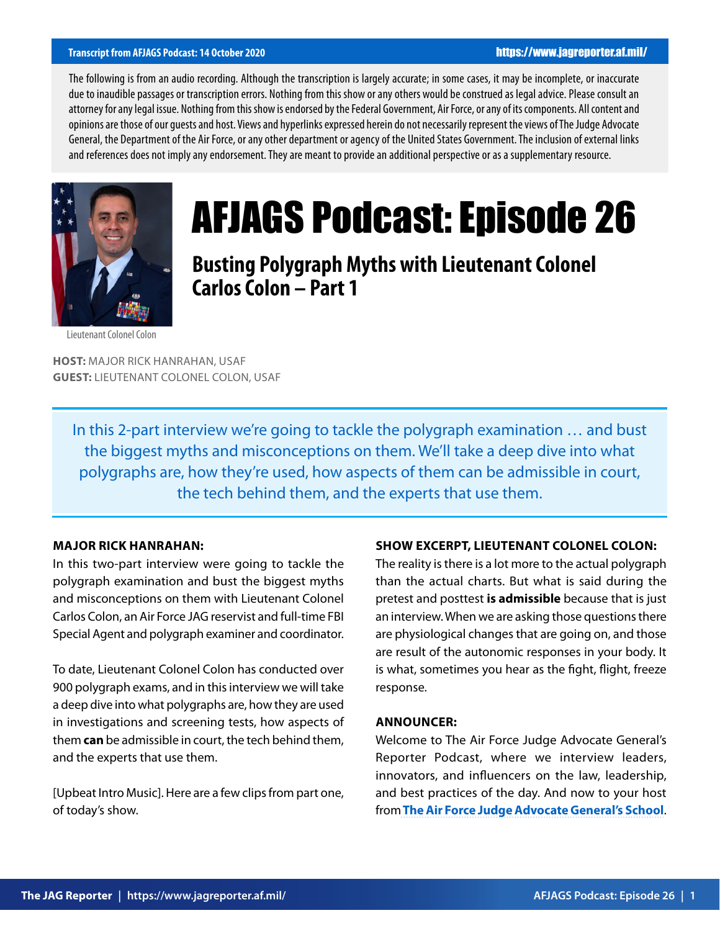## **Transcript from AFJAGS Podcast: 14 October 2020** https://www.jagreporter.af.mil/

The following is from an audio recording. Although the transcription is largely accurate; in some cases, it may be incomplete, or inaccurate due to inaudible passages or transcription errors. Nothing from this show or any others would be construed as legal advice. Please consult an attorney for any legal issue. Nothing from this show is endorsed by the Federal Government, Air Force, or any of its components. All content and opinions are those of our guests and host. Views and hyperlinks expressed herein do not necessarily represent the views of The Judge Advocate General, the Department of the Air Force, or any other department or agency of the United States Government. The inclusion of external links and references does not imply any endorsement. They are meant to provide an additional perspective or as a supplementary resource.



# AFJAGS Podcast: Episode 26

**Busting Polygraph Myths with Lieutenant Colonel Carlos Colon – Part 1**

Lieutenant Colonel Colon

**HOST:** MAJOR RICK HANRAHAN, USAF **GUEST:** LIEUTENANT COLONEL COLON, USAF

In this 2-part interview we're going to tackle the polygraph examination … and bust the biggest myths and misconceptions on them. We'll take a deep dive into what polygraphs are, how they're used, how aspects of them can be admissible in court, the tech behind them, and the experts that use them.

## **MAJOR RICK HANRAHAN:**

In this two-part interview were going to tackle the polygraph examination and bust the biggest myths and misconceptions on them with Lieutenant Colonel Carlos Colon, an Air Force JAG reservist and full-time FBI Special Agent and polygraph examiner and coordinator.

To date, Lieutenant Colonel Colon has conducted over 900 polygraph exams, and in this interview we will take a deep dive into what polygraphs are, how they are used in investigations and screening tests, how aspects of them **can** be admissible in court, the tech behind them, and the experts that use them.

[Upbeat Intro Music]. Here are a few clips from part one, of today's show.

#### **SHOW EXCERPT, LIEUTENANT COLONEL COLON:**

The reality is there is a lot more to the actual polygraph than the actual charts. But what is said during the pretest and posttest **is admissible** because that is just an interview. When we are asking those questions there are physiological changes that are going on, and those are result of the autonomic responses in your body. It is what, sometimes you hear as the fight, flight, freeze response.

#### **ANNOUNCER:**

Welcome to The Air Force Judge Advocate General's Reporter Podcast, where we interview leaders, innovators, and influencers on the law, leadership, and best practices of the day. And now to your host from **[The Air Force Judge Advocate General's School](https://www.afjag.af.mil/JAG-School/)**.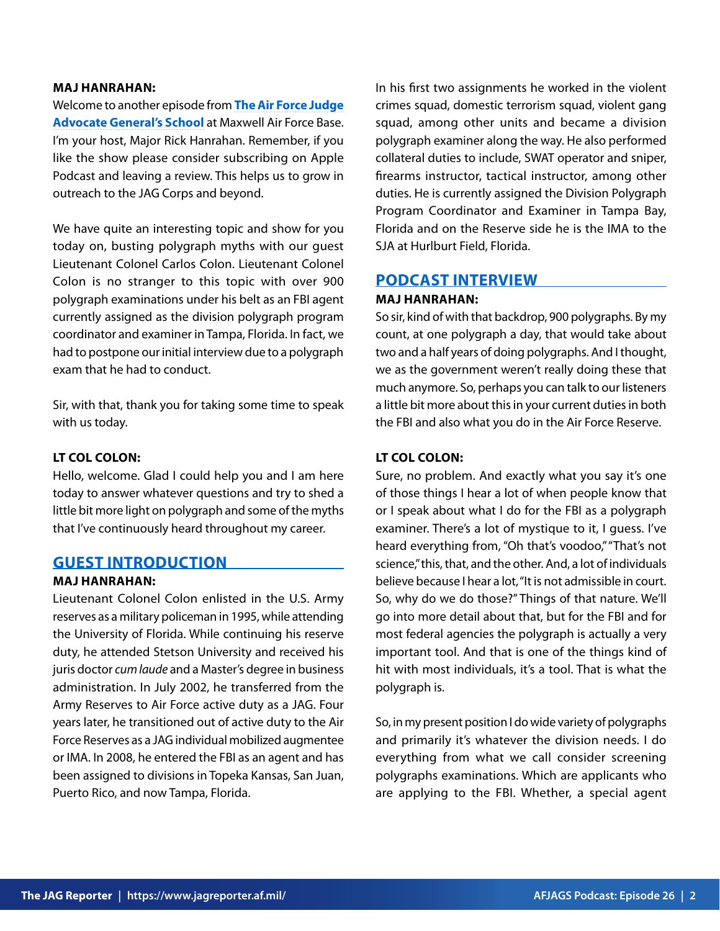## **MAJ HANRAHAN:**

[Welcome to another episode from](https://www.afjag.af.mil/JAG-School/) **The Air Force Judge [Advocate General's School](https://www.afjag.af.mil/JAG-School/)** at Maxwell Air Force Base. I'm your host, Major Rick Hanrahan. Remember, if you like the show please consider subscribing on Apple Podcast and leaving a review. This helps us to grow in outreach to the JAG Corps and beyond.

We have quite an interesting topic and show for you today on, busting polygraph myths with our guest Lieutenant Colonel Carlos Colon. Lieutenant Colonel Colon is no stranger to this topic with over 900 polygraph examinations under his belt as an FBI agent currently assigned as the division polygraph program coordinator and examiner in Tampa, Florida. In fact, we had to postpone our initial interview due to a polygraph exam that he had to conduct.

Sir, with that, thank you for taking some time to speak with us today.

## **LT COL COLON:**

Hello, welcome. Glad I could help you and I am here today to answer whatever questions and try to shed a little bit more light on polygraph and some of the myths that I've continuously heard throughout my career.

## **GUEST INTRODUCTION**

## **MAJ HANRAHAN:**

Lieutenant Colonel Colon enlisted in the U.S. Army reserves as a military policeman in 1995, while attending the University of Florida. While continuing his reserve duty, he attended Stetson University and received his juris doctor *cum laude* and a Master's degree in business administration. In July 2002, he transferred from the Army Reserves to Air Force active duty as a JAG. Four years later, he transitioned out of active duty to the Air Force Reserves as a JAG individual mobilized augmentee or IMA. In 2008, he entered the FBI as an agent and has been assigned to divisions in Topeka Kansas, San Juan, Puerto Rico, and now Tampa, Florida.

In his first two assignments he worked in the violent crimes squad, domestic terrorism squad, violent gang squad, among other units and became a division polygraph examiner along the way. He also performed collateral duties to include, SWAT operator and sniper, firearms instructor, tactical instructor, among other duties. He is currently assigned the Division Polygraph Program Coordinator and Examiner in Tampa Bay, Florida and on the Reserve side he is the IMA to the SJA at Hurlburt Field, Florida.

## **PODCAST INTERVIEW**

#### **MAJ HANRAHAN:**

So sir, kind of with that backdrop, 900 polygraphs. By my count, at one polygraph a day, that would take about two and a half years of doing polygraphs. And I thought, we as the government weren't really doing these that much anymore. So, perhaps you can talk to our listeners a little bit more about this in your current duties in both the FBI and also what you do in the Air Force Reserve.

## **LT COL COLON:**

Sure, no problem. And exactly what you say it's one of those things I hear a lot of when people know that or I speak about what I do for the FBI as a polygraph examiner. There's a lot of mystique to it, I guess. I've heard everything from, "Oh that's voodoo," "That's not science," this, that, and the other. And, a lot of individuals believe because I hear a lot, "It is not admissible in court. So, why do we do those?" Things of that nature. We'll go into more detail about that, but for the FBI and for most federal agencies the polygraph is actually a very important tool. And that is one of the things kind of hit with most individuals, it's a tool. That is what the polygraph is.

So, in my present position I do wide variety of polygraphs and primarily it's whatever the division needs. I do everything from what we call consider screening polygraphs examinations. Which are applicants who are applying to the FBI. Whether, a special agent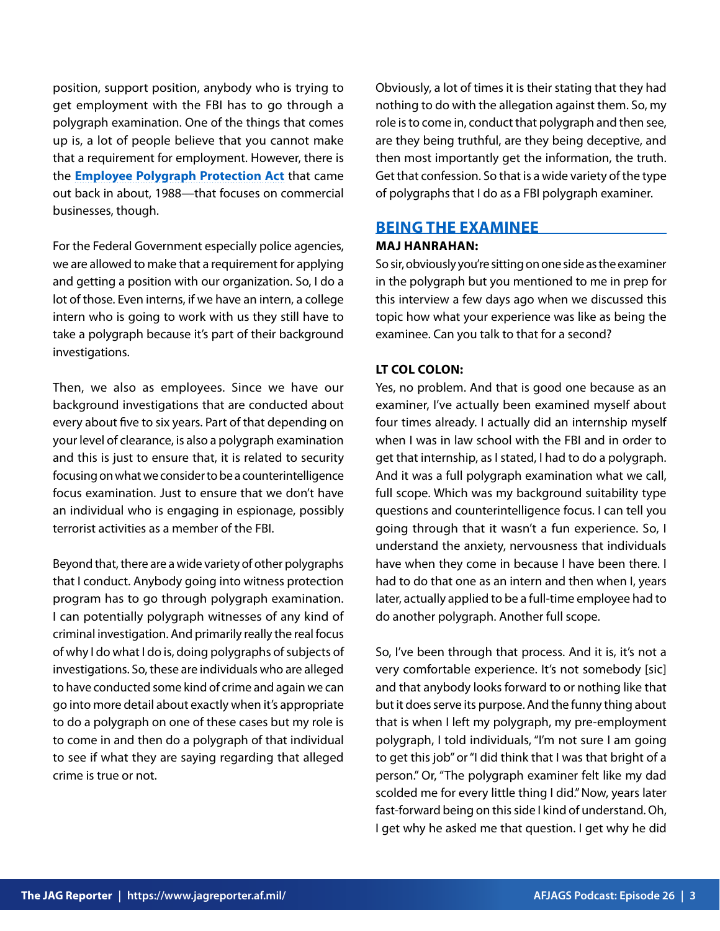position, support position, anybody who is trying to get employment with the FBI has to go through a polygraph examination. One of the things that comes up is, a lot of people believe that you cannot make that a requirement for employment. However, there is the **[Employee Polygraph Protection Act](https://www.dol.gov/agencies/whd/polygraph)** that came out back in about, 1988—that focuses on commercial businesses, though.

For the Federal Government especially police agencies, we are allowed to make that a requirement for applying and getting a position with our organization. So, I do a lot of those. Even interns, if we have an intern, a college intern who is going to work with us they still have to take a polygraph because it's part of their background investigations.

Then, we also as employees. Since we have our background investigations that are conducted about every about five to six years. Part of that depending on your level of clearance, is also a polygraph examination and this is just to ensure that, it is related to security focusing on what we consider to be a counterintelligence focus examination. Just to ensure that we don't have an individual who is engaging in espionage, possibly terrorist activities as a member of the FBI.

Beyond that, there are a wide variety of other polygraphs that I conduct. Anybody going into witness protection program has to go through polygraph examination. I can potentially polygraph witnesses of any kind of criminal investigation. And primarily really the real focus of why I do what I do is, doing polygraphs of subjects of investigations. So, these are individuals who are alleged to have conducted some kind of crime and again we can go into more detail about exactly when it's appropriate to do a polygraph on one of these cases but my role is to come in and then do a polygraph of that individual to see if what they are saying regarding that alleged crime is true or not.

Obviously, a lot of times it is their stating that they had nothing to do with the allegation against them. So, my role is to come in, conduct that polygraph and then see, are they being truthful, are they being deceptive, and then most importantly get the information, the truth. Get that confession. So that is a wide variety of the type of polygraphs that I do as a FBI polygraph examiner.

# **BEING THE EXAMINEE**

## **MAJ HANRAHAN:**

So sir, obviously you're sitting on one side as the examiner in the polygraph but you mentioned to me in prep for this interview a few days ago when we discussed this topic how what your experience was like as being the examinee. Can you talk to that for a second?

## **LT COL COLON:**

Yes, no problem. And that is good one because as an examiner, I've actually been examined myself about four times already. I actually did an internship myself when I was in law school with the FBI and in order to get that internship, as I stated, I had to do a polygraph. And it was a full polygraph examination what we call, full scope. Which was my background suitability type questions and counterintelligence focus. I can tell you going through that it wasn't a fun experience. So, I understand the anxiety, nervousness that individuals have when they come in because I have been there. I had to do that one as an intern and then when I, years later, actually applied to be a full-time employee had to do another polygraph. Another full scope.

So, I've been through that process. And it is, it's not a very comfortable experience. It's not somebody [sic] and that anybody looks forward to or nothing like that but it does serve its purpose. And the funny thing about that is when I left my polygraph, my pre-employment polygraph, I told individuals, "I'm not sure I am going to get this job" or "I did think that I was that bright of a person." Or, "The polygraph examiner felt like my dad scolded me for every little thing I did." Now, years later fast-forward being on this side I kind of understand. Oh, I get why he asked me that question. I get why he did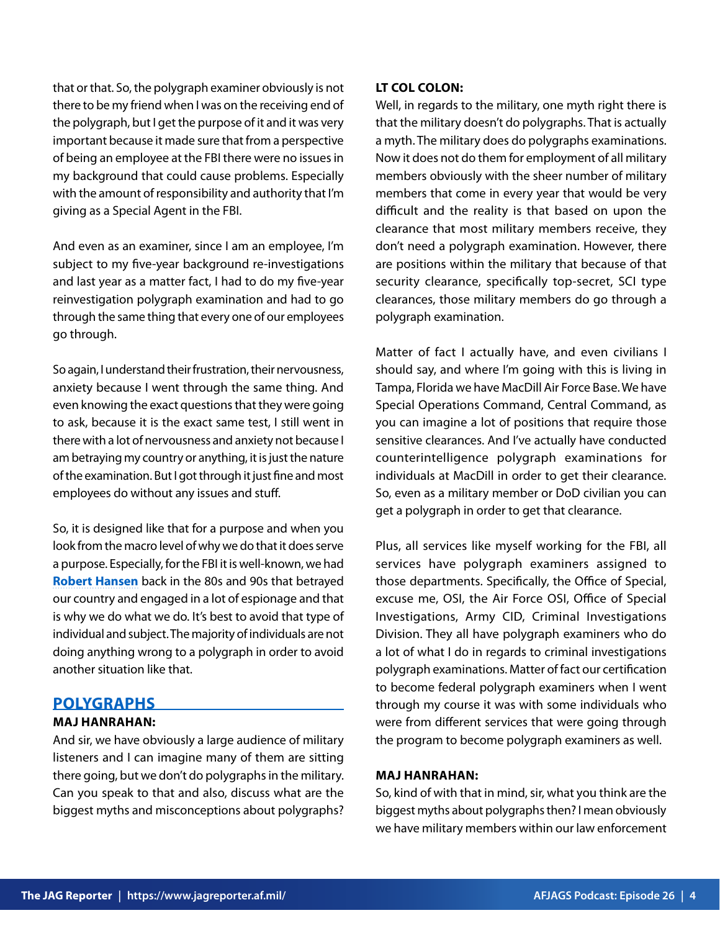that or that. So, the polygraph examiner obviously is not there to be my friend when I was on the receiving end of the polygraph, but I get the purpose of it and it was very important because it made sure that from a perspective of being an employee at the FBI there were no issues in my background that could cause problems. Especially with the amount of responsibility and authority that I'm giving as a Special Agent in the FBI.

And even as an examiner, since I am an employee, I'm subject to my five-year background re-investigations and last year as a matter fact, I had to do my five-year reinvestigation polygraph examination and had to go through the same thing that every one of our employees go through.

So again, I understand their frustration, their nervousness, anxiety because I went through the same thing. And even knowing the exact questions that they were going to ask, because it is the exact same test, I still went in there with a lot of nervousness and anxiety not because I am betraying my country or anything, it is just the nature of the examination. But I got through it just fine and most employees do without any issues and stuff.

So, it is designed like that for a purpose and when you look from the macro level of why we do that it does serve a purpose. Especially, for the FBI it is well-known, we had **[Robert Hansen](https://www.fbi.gov/history/famous-cases/robert-hanssen)** back in the 80s and 90s that betrayed our country and engaged in a lot of espionage and that is why we do what we do. It's best to avoid that type of individual and subject. The majority of individuals are not doing anything wrong to a polygraph in order to avoid another situation like that.

## **POLYGRAPHS**

## **MAJ HANRAHAN:**

And sir, we have obviously a large audience of military listeners and I can imagine many of them are sitting there going, but we don't do polygraphs in the military. Can you speak to that and also, discuss what are the biggest myths and misconceptions about polygraphs?

## **LT COL COLON:**

Well, in regards to the military, one myth right there is that the military doesn't do polygraphs. That is actually a myth. The military does do polygraphs examinations. Now it does not do them for employment of all military members obviously with the sheer number of military members that come in every year that would be very difficult and the reality is that based on upon the clearance that most military members receive, they don't need a polygraph examination. However, there are positions within the military that because of that security clearance, specifically top-secret, SCI type clearances, those military members do go through a polygraph examination.

Matter of fact I actually have, and even civilians I should say, and where I'm going with this is living in Tampa, Florida we have MacDill Air Force Base. We have Special Operations Command, Central Command, as you can imagine a lot of positions that require those sensitive clearances. And I've actually have conducted counterintelligence polygraph examinations for individuals at MacDill in order to get their clearance. So, even as a military member or DoD civilian you can get a polygraph in order to get that clearance.

Plus, all services like myself working for the FBI, all services have polygraph examiners assigned to those departments. Specifically, the Office of Special, excuse me, OSI, the Air Force OSI, Office of Special Investigations, Army CID, Criminal Investigations Division. They all have polygraph examiners who do a lot of what I do in regards to criminal investigations polygraph examinations. Matter of fact our certification to become federal polygraph examiners when I went through my course it was with some individuals who were from different services that were going through the program to become polygraph examiners as well.

## **MAJ HANRAHAN:**

So, kind of with that in mind, sir, what you think are the biggest myths about polygraphs then? I mean obviously we have military members within our law enforcement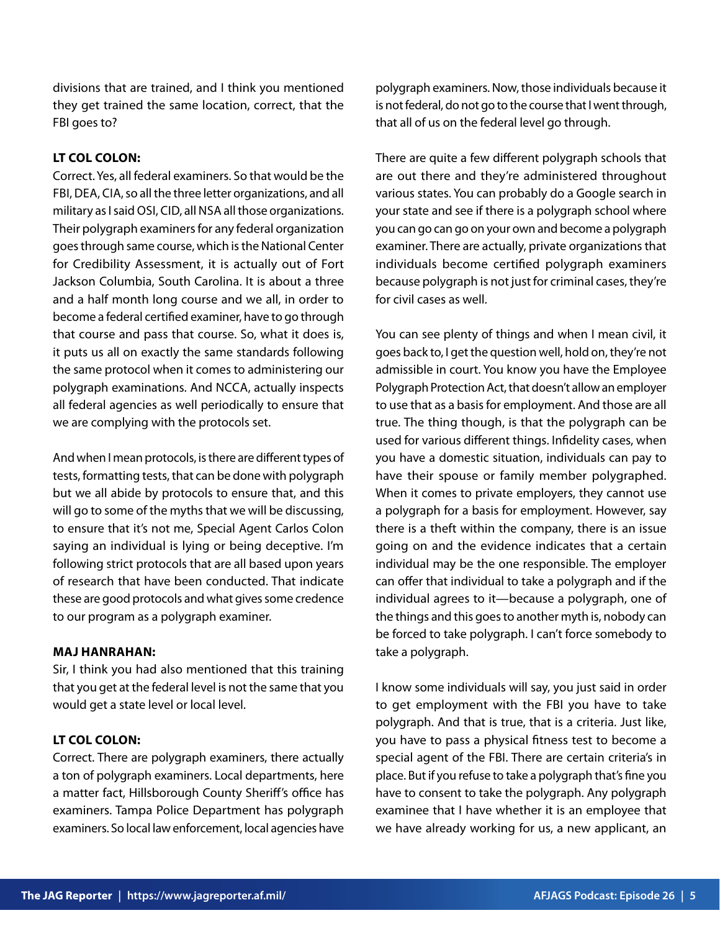divisions that are trained, and I think you mentioned they get trained the same location, correct, that the FBI goes to?

## **LT COL COLON:**

Correct. Yes, all federal examiners. So that would be the FBI, DEA, CIA, so all the three letter organizations, and all military as I said OSI, CID, all NSA all those organizations. Their polygraph examiners for any federal organization goes through same course, which is the National Center for Credibility Assessment, it is actually out of Fort Jackson Columbia, South Carolina. It is about a three and a half month long course and we all, in order to become a federal certified examiner, have to go through that course and pass that course. So, what it does is, it puts us all on exactly the same standards following the same protocol when it comes to administering our polygraph examinations. And NCCA, actually inspects all federal agencies as well periodically to ensure that we are complying with the protocols set.

And when I mean protocols, is there are different types of tests, formatting tests, that can be done with polygraph but we all abide by protocols to ensure that, and this will go to some of the myths that we will be discussing, to ensure that it's not me, Special Agent Carlos Colon saying an individual is lying or being deceptive. I'm following strict protocols that are all based upon years of research that have been conducted. That indicate these are good protocols and what gives some credence to our program as a polygraph examiner.

## **MAJ HANRAHAN:**

Sir, I think you had also mentioned that this training that you get at the federal level is not the same that you would get a state level or local level.

## **LT COL COLON:**

Correct. There are polygraph examiners, there actually a ton of polygraph examiners. Local departments, here a matter fact, Hillsborough County Sheriff's office has examiners. Tampa Police Department has polygraph examiners. So local law enforcement, local agencies have

polygraph examiners. Now, those individuals because it is not federal, do not go to the course that I went through, that all of us on the federal level go through.

There are quite a few different polygraph schools that are out there and they're administered throughout various states. You can probably do a Google search in your state and see if there is a polygraph school where you can go can go on your own and become a polygraph examiner. There are actually, private organizations that individuals become certified polygraph examiners because polygraph is not just for criminal cases, they're for civil cases as well.

You can see plenty of things and when I mean civil, it goes back to, I get the question well, hold on, they're not admissible in court. You know you have the Employee Polygraph Protection Act, that doesn't allow an employer to use that as a basis for employment. And those are all true. The thing though, is that the polygraph can be used for various different things. Infidelity cases, when you have a domestic situation, individuals can pay to have their spouse or family member polygraphed. When it comes to private employers, they cannot use a polygraph for a basis for employment. However, say there is a theft within the company, there is an issue going on and the evidence indicates that a certain individual may be the one responsible. The employer can offer that individual to take a polygraph and if the individual agrees to it—because a polygraph, one of the things and this goes to another myth is, nobody can be forced to take polygraph. I can't force somebody to take a polygraph.

I know some individuals will say, you just said in order to get employment with the FBI you have to take polygraph. And that is true, that is a criteria. Just like, you have to pass a physical fitness test to become a special agent of the FBI. There are certain criteria's in place. But if you refuse to take a polygraph that's fine you have to consent to take the polygraph. Any polygraph examinee that I have whether it is an employee that we have already working for us, a new applicant, an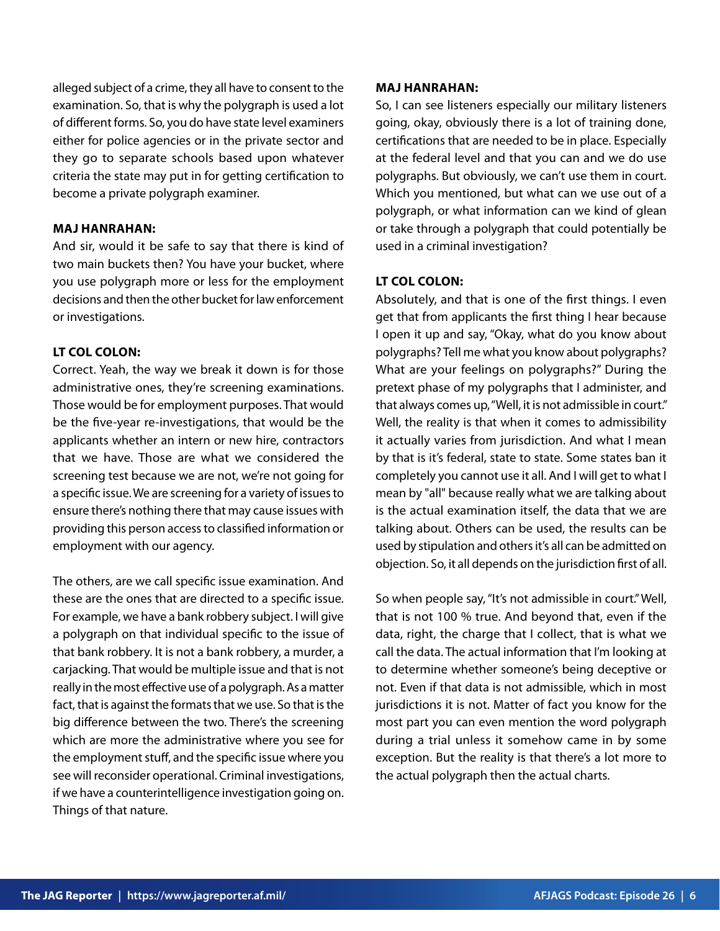alleged subject of a crime, they all have to consent to the examination. So, that is why the polygraph is used a lot of different forms. So, you do have state level examiners either for police agencies or in the private sector and they go to separate schools based upon whatever criteria the state may put in for getting certification to become a private polygraph examiner.

## **MAJ HANRAHAN:**

And sir, would it be safe to say that there is kind of two main buckets then? You have your bucket, where you use polygraph more or less for the employment decisions and then the other bucket for law enforcement or investigations.

## **LT COL COLON:**

Correct. Yeah, the way we break it down is for those administrative ones, they're screening examinations. Those would be for employment purposes. That would be the five-year re-investigations, that would be the applicants whether an intern or new hire, contractors that we have. Those are what we considered the screening test because we are not, we're not going for a specific issue. We are screening for a variety of issues to ensure there's nothing there that may cause issues with providing this person access to classified information or employment with our agency.

The others, are we call specific issue examination. And these are the ones that are directed to a specific issue. For example, we have a bank robbery subject. I will give a polygraph on that individual specific to the issue of that bank robbery. It is not a bank robbery, a murder, a carjacking. That would be multiple issue and that is not really in the most effective use of a polygraph. As a matter fact, that is against the formats that we use. So that is the big difference between the two. There's the screening which are more the administrative where you see for the employment stuff, and the specific issue where you see will reconsider operational. Criminal investigations, if we have a counterintelligence investigation going on. Things of that nature.

## **MAJ HANRAHAN:**

So, I can see listeners especially our military listeners going, okay, obviously there is a lot of training done, certifications that are needed to be in place. Especially at the federal level and that you can and we do use polygraphs. But obviously, we can't use them in court. Which you mentioned, but what can we use out of a polygraph, or what information can we kind of glean or take through a polygraph that could potentially be used in a criminal investigation?

## **LT COL COLON:**

Absolutely, and that is one of the first things. I even get that from applicants the first thing I hear because I open it up and say, "Okay, what do you know about polygraphs? Tell me what you know about polygraphs? What are your feelings on polygraphs?" During the pretext phase of my polygraphs that I administer, and that always comes up, "Well, it is not admissible in court." Well, the reality is that when it comes to admissibility it actually varies from jurisdiction. And what I mean by that is it's federal, state to state. Some states ban it completely you cannot use it all. And I will get to what I mean by "all" because really what we are talking about is the actual examination itself, the data that we are talking about. Others can be used, the results can be used by stipulation and others it's all can be admitted on objection. So, it all depends on the jurisdiction first of all.

So when people say, "It's not admissible in court." Well, that is not 100 % true. And beyond that, even if the data, right, the charge that I collect, that is what we call the data. The actual information that I'm looking at to determine whether someone's being deceptive or not. Even if that data is not admissible, which in most jurisdictions it is not. Matter of fact you know for the most part you can even mention the word polygraph during a trial unless it somehow came in by some exception. But the reality is that there's a lot more to the actual polygraph then the actual charts.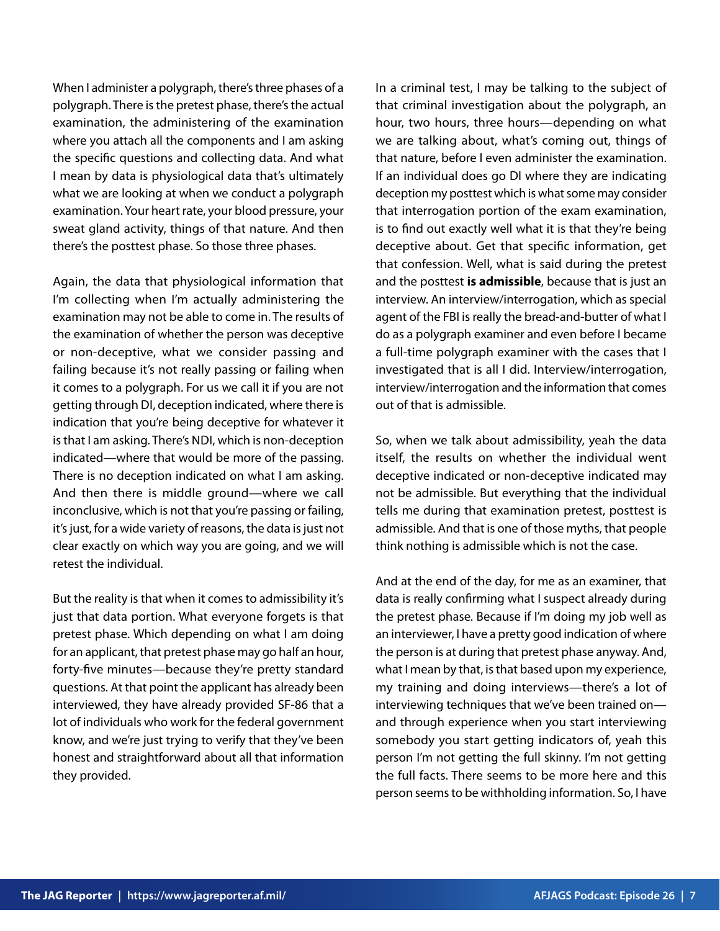When I administer a polygraph, there's three phases of a polygraph. There is the pretest phase, there's the actual examination, the administering of the examination where you attach all the components and I am asking the specific questions and collecting data. And what I mean by data is physiological data that's ultimately what we are looking at when we conduct a polygraph examination. Your heart rate, your blood pressure, your sweat gland activity, things of that nature. And then there's the posttest phase. So those three phases.

Again, the data that physiological information that I'm collecting when I'm actually administering the examination may not be able to come in. The results of the examination of whether the person was deceptive or non-deceptive, what we consider passing and failing because it's not really passing or failing when it comes to a polygraph. For us we call it if you are not getting through DI, deception indicated, where there is indication that you're being deceptive for whatever it is that I am asking. There's NDI, which is non-deception indicated—where that would be more of the passing. There is no deception indicated on what I am asking. And then there is middle ground—where we call inconclusive, which is not that you're passing or failing, it's just, for a wide variety of reasons, the data is just not clear exactly on which way you are going, and we will retest the individual.

But the reality is that when it comes to admissibility it's just that data portion. What everyone forgets is that pretest phase. Which depending on what I am doing for an applicant, that pretest phase may go half an hour, forty-five minutes—because they're pretty standard questions. At that point the applicant has already been interviewed, they have already provided SF-86 that a lot of individuals who work for the federal government know, and we're just trying to verify that they've been honest and straightforward about all that information they provided.

In a criminal test, I may be talking to the subject of that criminal investigation about the polygraph, an hour, two hours, three hours—depending on what we are talking about, what's coming out, things of that nature, before I even administer the examination. If an individual does go DI where they are indicating deception my posttest which is what some may consider that interrogation portion of the exam examination, is to find out exactly well what it is that they're being deceptive about. Get that specific information, get that confession. Well, what is said during the pretest and the posttest **is admissible**, because that is just an interview. An interview/interrogation, which as special agent of the FBI is really the bread-and-butter of what I do as a polygraph examiner and even before I became a full-time polygraph examiner with the cases that I investigated that is all I did. Interview/interrogation, interview/interrogation and the information that comes out of that is admissible.

So, when we talk about admissibility, yeah the data itself, the results on whether the individual went deceptive indicated or non-deceptive indicated may not be admissible. But everything that the individual tells me during that examination pretest, posttest is admissible. And that is one of those myths, that people think nothing is admissible which is not the case.

And at the end of the day, for me as an examiner, that data is really confirming what I suspect already during the pretest phase. Because if I'm doing my job well as an interviewer, I have a pretty good indication of where the person is at during that pretest phase anyway. And, what I mean by that, is that based upon my experience, my training and doing interviews—there's a lot of interviewing techniques that we've been trained on and through experience when you start interviewing somebody you start getting indicators of, yeah this person I'm not getting the full skinny. I'm not getting the full facts. There seems to be more here and this person seems to be withholding information. So, I have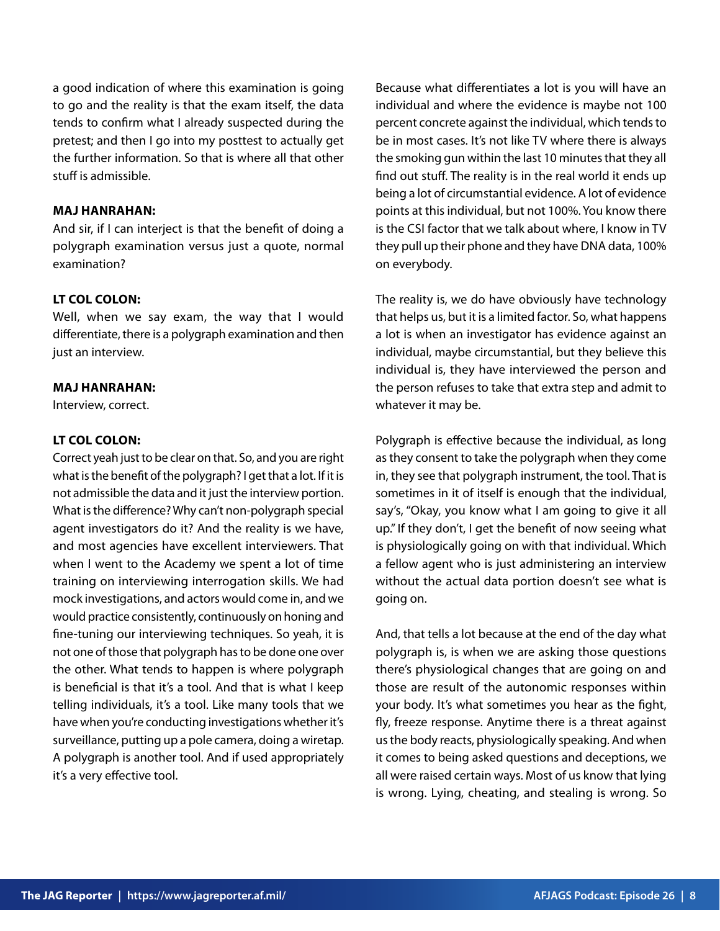a good indication of where this examination is going to go and the reality is that the exam itself, the data tends to confirm what I already suspected during the pretest; and then I go into my posttest to actually get the further information. So that is where all that other stuff is admissible.

#### **MAJ HANRAHAN:**

And sir, if I can interject is that the benefit of doing a polygraph examination versus just a quote, normal examination?

## **LT COL COLON:**

Well, when we say exam, the way that I would differentiate, there is a polygraph examination and then just an interview.

#### **MAJ HANRAHAN:**

Interview, correct.

## **LT COL COLON:**

Correct yeah just to be clear on that. So, and you are right what is the benefit of the polygraph? I get that a lot. If it is not admissible the data and it just the interview portion. What is the difference? Why can't non-polygraph special agent investigators do it? And the reality is we have, and most agencies have excellent interviewers. That when I went to the Academy we spent a lot of time training on interviewing interrogation skills. We had mock investigations, and actors would come in, and we would practice consistently, continuously on honing and fine-tuning our interviewing techniques. So yeah, it is not one of those that polygraph has to be done one over the other. What tends to happen is where polygraph is beneficial is that it's a tool. And that is what I keep telling individuals, it's a tool. Like many tools that we have when you're conducting investigations whether it's surveillance, putting up a pole camera, doing a wiretap. A polygraph is another tool. And if used appropriately it's a very effective tool.

Because what differentiates a lot is you will have an individual and where the evidence is maybe not 100 percent concrete against the individual, which tends to be in most cases. It's not like TV where there is always the smoking gun within the last 10 minutes that they all find out stuff. The reality is in the real world it ends up being a lot of circumstantial evidence. A lot of evidence points at this individual, but not 100%. You know there is the CSI factor that we talk about where, I know in TV they pull up their phone and they have DNA data, 100% on everybody.

The reality is, we do have obviously have technology that helps us, but it is a limited factor. So, what happens a lot is when an investigator has evidence against an individual, maybe circumstantial, but they believe this individual is, they have interviewed the person and the person refuses to take that extra step and admit to whatever it may be.

Polygraph is effective because the individual, as long as they consent to take the polygraph when they come in, they see that polygraph instrument, the tool. That is sometimes in it of itself is enough that the individual, say's, "Okay, you know what I am going to give it all up." If they don't, I get the benefit of now seeing what is physiologically going on with that individual. Which a fellow agent who is just administering an interview without the actual data portion doesn't see what is going on.

And, that tells a lot because at the end of the day what polygraph is, is when we are asking those questions there's physiological changes that are going on and those are result of the autonomic responses within your body. It's what sometimes you hear as the fight, fly, freeze response. Anytime there is a threat against us the body reacts, physiologically speaking. And when it comes to being asked questions and deceptions, we all were raised certain ways. Most of us know that lying is wrong. Lying, cheating, and stealing is wrong. So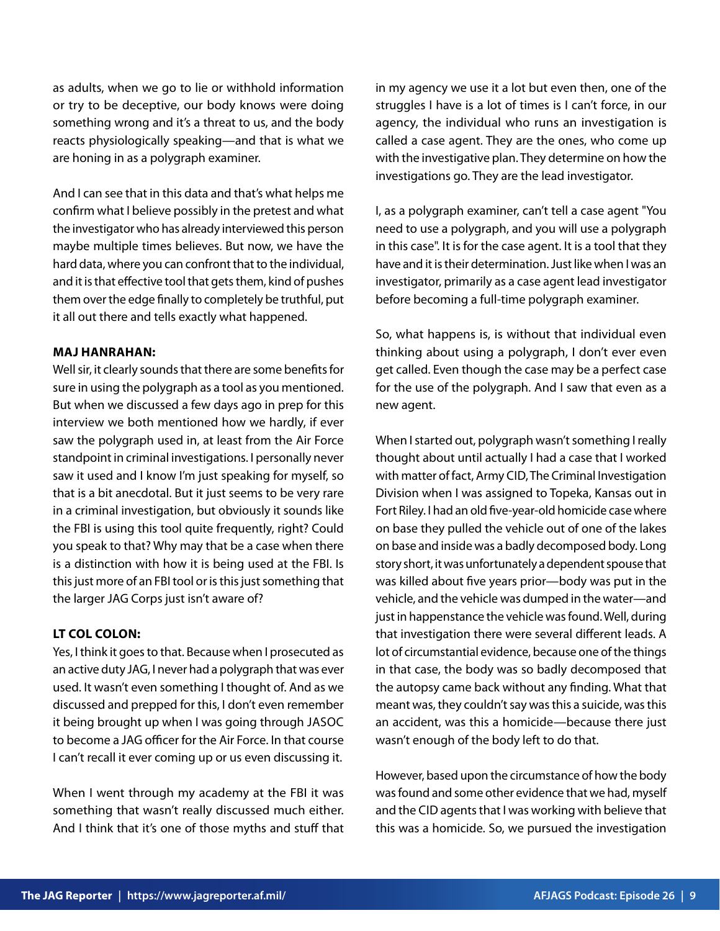as adults, when we go to lie or withhold information or try to be deceptive, our body knows were doing something wrong and it's a threat to us, and the body reacts physiologically speaking—and that is what we are honing in as a polygraph examiner.

And I can see that in this data and that's what helps me confirm what I believe possibly in the pretest and what the investigator who has already interviewed this person maybe multiple times believes. But now, we have the hard data, where you can confront that to the individual, and it is that effective tool that gets them, kind of pushes them over the edge finally to completely be truthful, put it all out there and tells exactly what happened.

## **MAJ HANRAHAN:**

Well sir, it clearly sounds that there are some benefits for sure in using the polygraph as a tool as you mentioned. But when we discussed a few days ago in prep for this interview we both mentioned how we hardly, if ever saw the polygraph used in, at least from the Air Force standpoint in criminal investigations. I personally never saw it used and I know I'm just speaking for myself, so that is a bit anecdotal. But it just seems to be very rare in a criminal investigation, but obviously it sounds like the FBI is using this tool quite frequently, right? Could you speak to that? Why may that be a case when there is a distinction with how it is being used at the FBI. Is this just more of an FBI tool or is this just something that the larger JAG Corps just isn't aware of?

## **LT COL COLON:**

Yes, I think it goes to that. Because when I prosecuted as an active duty JAG, I never had a polygraph that was ever used. It wasn't even something I thought of. And as we discussed and prepped for this, I don't even remember it being brought up when I was going through JASOC to become a JAG officer for the Air Force. In that course I can't recall it ever coming up or us even discussing it.

When I went through my academy at the FBI it was something that wasn't really discussed much either. And I think that it's one of those myths and stuff that in my agency we use it a lot but even then, one of the struggles I have is a lot of times is I can't force, in our agency, the individual who runs an investigation is called a case agent. They are the ones, who come up with the investigative plan. They determine on how the investigations go. They are the lead investigator.

I, as a polygraph examiner, can't tell a case agent "You need to use a polygraph, and you will use a polygraph in this case". It is for the case agent. It is a tool that they have and it is their determination. Just like when I was an investigator, primarily as a case agent lead investigator before becoming a full-time polygraph examiner.

So, what happens is, is without that individual even thinking about using a polygraph, I don't ever even get called. Even though the case may be a perfect case for the use of the polygraph. And I saw that even as a new agent.

When I started out, polygraph wasn't something I really thought about until actually I had a case that I worked with matter of fact, Army CID, The Criminal Investigation Division when I was assigned to Topeka, Kansas out in Fort Riley. I had an old five-year-old homicide case where on base they pulled the vehicle out of one of the lakes on base and inside was a badly decomposed body. Long story short, it was unfortunately a dependent spouse that was killed about five years prior—body was put in the vehicle, and the vehicle was dumped in the water—and just in happenstance the vehicle was found. Well, during that investigation there were several different leads. A lot of circumstantial evidence, because one of the things in that case, the body was so badly decomposed that the autopsy came back without any finding. What that meant was, they couldn't say was this a suicide, was this an accident, was this a homicide—because there just wasn't enough of the body left to do that.

However, based upon the circumstance of how the body was found and some other evidence that we had, myself and the CID agents that I was working with believe that this was a homicide. So, we pursued the investigation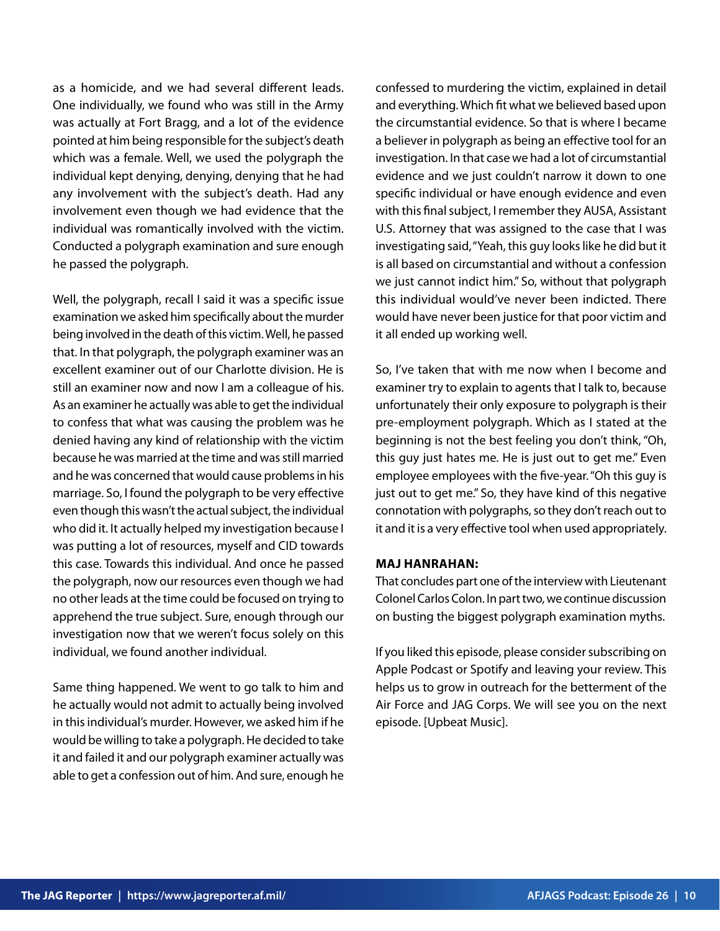as a homicide, and we had several different leads. One individually, we found who was still in the Army was actually at Fort Bragg, and a lot of the evidence pointed at him being responsible for the subject's death which was a female. Well, we used the polygraph the individual kept denying, denying, denying that he had any involvement with the subject's death. Had any involvement even though we had evidence that the individual was romantically involved with the victim. Conducted a polygraph examination and sure enough he passed the polygraph.

Well, the polygraph, recall I said it was a specific issue examination we asked him specifically about the murder being involved in the death of this victim. Well, he passed that. In that polygraph, the polygraph examiner was an excellent examiner out of our Charlotte division. He is still an examiner now and now I am a colleague of his. As an examiner he actually was able to get the individual to confess that what was causing the problem was he denied having any kind of relationship with the victim because he was married at the time and was still married and he was concerned that would cause problems in his marriage. So, I found the polygraph to be very effective even though this wasn't the actual subject, the individual who did it. It actually helped my investigation because I was putting a lot of resources, myself and CID towards this case. Towards this individual. And once he passed the polygraph, now our resources even though we had no other leads at the time could be focused on trying to apprehend the true subject. Sure, enough through our investigation now that we weren't focus solely on this individual, we found another individual.

Same thing happened. We went to go talk to him and he actually would not admit to actually being involved in this individual's murder. However, we asked him if he would be willing to take a polygraph. He decided to take it and failed it and our polygraph examiner actually was able to get a confession out of him. And sure, enough he confessed to murdering the victim, explained in detail and everything. Which fit what we believed based upon the circumstantial evidence. So that is where I became a believer in polygraph as being an effective tool for an investigation. In that case we had a lot of circumstantial evidence and we just couldn't narrow it down to one specific individual or have enough evidence and even with this final subject, I remember they AUSA, Assistant U.S. Attorney that was assigned to the case that I was investigating said, "Yeah, this guy looks like he did but it is all based on circumstantial and without a confession we just cannot indict him." So, without that polygraph this individual would've never been indicted. There would have never been justice for that poor victim and it all ended up working well.

So, I've taken that with me now when I become and examiner try to explain to agents that I talk to, because unfortunately their only exposure to polygraph is their pre-employment polygraph. Which as I stated at the beginning is not the best feeling you don't think, "Oh, this guy just hates me. He is just out to get me." Even employee employees with the five-year. "Oh this guy is just out to get me." So, they have kind of this negative connotation with polygraphs, so they don't reach out to it and it is a very effective tool when used appropriately.

#### **MAJ HANRAHAN:**

That concludes part one of the interview with Lieutenant Colonel Carlos Colon. In part two, we continue discussion on busting the biggest polygraph examination myths.

If you liked this episode, please consider subscribing on Apple Podcast or Spotify and leaving your review. This helps us to grow in outreach for the betterment of the Air Force and JAG Corps. We will see you on the next episode. [Upbeat Music].